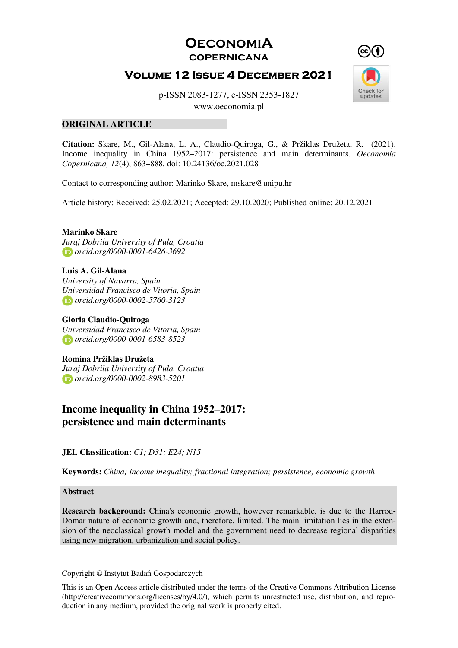**OeconomiA copernicana** 

# **Volume 12 Issue 4 December 2021**



p-ISSN 2083-1277, e-ISSN 2353-1827

www.oeconomia.pl

#### **ORIGINAL ARTICLE**

**Citation:** Skare, M., Gil-Alana, L. A., Claudio-Quiroga, G., & Pržiklas Družeta, R. (2021). Income inequality in China 1952–2017: persistence and main determinants*. Oeconomia Copernicana, 12*(4), 863–888*.* doi: [10.24136/oc.2021.028](https://doi.org/10.24136/oc.2021.028)

Contact to corresponding author: Marinko Skare, mskare@unipu.hr

Article history: Received: 25.02.2021; Accepted: 29.10.2020; Published online: 20.12.2021

#### **Marinko Skare**

*Juraj Dobrila University of Pula, Croatia orcid.org/0000-0001-6426-3692* 

#### **Luis A. Gil-Alana**

*University of Navarra, Spain Universidad Francisco de Vitoria, Spain orcid.org/0000-0002-5760-3123* 

**Gloria Claudio-Quiroga** *Universidad Francisco de Vitoria, Spain orcid.org/0000-0001-6583-8523* 

#### **Romina Pržiklas Družeta**

*Juraj Dobrila University of Pula, Croatia orcid.org/0000-0002-8983-5201* 

## **Income inequality in China 1952–2017: persistence and main determinants**

**JEL Classification:** *C1; D31; E24; N15*

**Keywords:** *China; income inequality; fractional integration; persistence; economic growth*

**Abstract** 

**Research background:** China's economic growth, however remarkable, is due to the Harrod-Domar nature of economic growth and, therefore, limited. The main limitation lies in the extension of the neoclassical growth model and the government need to decrease regional disparities using new migration, urbanization and social policy.

Copyright © Instytut Badań Gospodarczych

This is an Open Access article distributed under the terms of the Creative Commons Attribution License (http://creativecommons.org/licenses/by/4.0/), which permits unrestricted use, distribution, and reproduction in any medium, provided the original work is properly cited.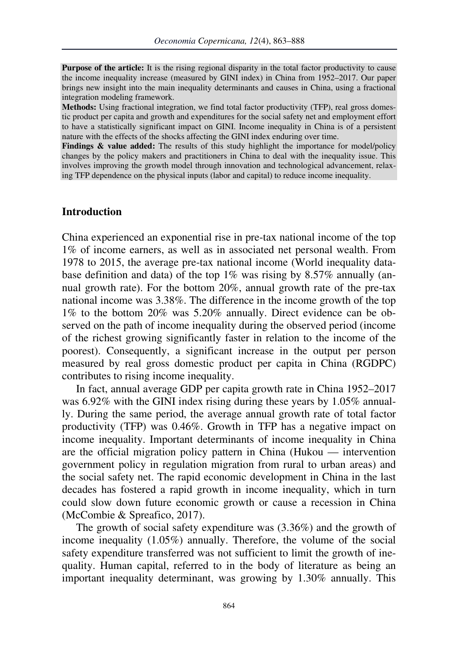**Purpose of the article:** It is the rising regional disparity in the total factor productivity to cause the income inequality increase (measured by GINI index) in China from 1952–2017. Our paper brings new insight into the main inequality determinants and causes in China, using a fractional integration modeling framework.

**Methods:** Using fractional integration, we find total factor productivity (TFP), real gross domestic product per capita and growth and expenditures for the social safety net and employment effort to have a statistically significant impact on GINI. Income inequality in China is of a persistent nature with the effects of the shocks affecting the GINI index enduring over time.

**Findings & value added:** The results of this study highlight the importance for model/policy changes by the policy makers and practitioners in China to deal with the inequality issue. This involves improving the growth model through innovation and technological advancement, relaxing TFP dependence on the physical inputs (labor and capital) to reduce income inequality.

### **Introduction**

China experienced an exponential rise in pre-tax national income of the top 1% of income earners, as well as in associated net personal wealth. From 1978 to 2015, the average pre-tax national income (World inequality database definition and data) of the top  $1\%$  was rising by 8.57% annually (annual growth rate). For the bottom 20%, annual growth rate of the pre-tax national income was 3.38%. The difference in the income growth of the top 1% to the bottom 20% was 5.20% annually. Direct evidence can be observed on the path of income inequality during the observed period (income of the richest growing significantly faster in relation to the income of the poorest). Consequently, a significant increase in the output per person measured by real gross domestic product per capita in China (RGDPC) contributes to rising income inequality.

In fact, annual average GDP per capita growth rate in China 1952–2017 was 6.92% with the GINI index rising during these years by 1.05% annually. During the same period, the average annual growth rate of total factor productivity (TFP) was 0.46%. Growth in TFP has a negative impact on income inequality. Important determinants of income inequality in China are the official migration policy pattern in China (Hukou — intervention government policy in regulation migration from rural to urban areas) and the social safety net. The rapid economic development in China in the last decades has fostered a rapid growth in income inequality, which in turn could slow down future economic growth or cause a recession in China (McCombie & Spreafico, 2017).

The growth of social safety expenditure was (3.36%) and the growth of income inequality (1.05%) annually. Therefore, the volume of the social safety expenditure transferred was not sufficient to limit the growth of inequality. Human capital, referred to in the body of literature as being an important inequality determinant, was growing by 1.30% annually. This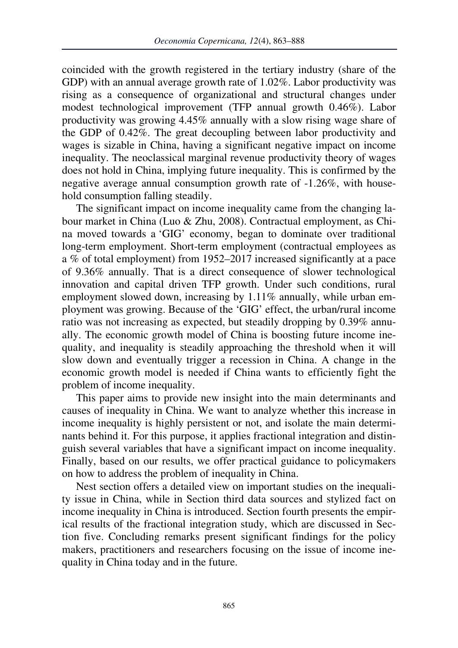coincided with the growth registered in the tertiary industry (share of the GDP) with an annual average growth rate of 1.02%. Labor productivity was rising as a consequence of organizational and structural changes under modest technological improvement (TFP annual growth 0.46%). Labor productivity was growing 4.45% annually with a slow rising wage share of the GDP of 0.42%. The great decoupling between labor productivity and wages is sizable in China, having a significant negative impact on income inequality. The neoclassical marginal revenue productivity theory of wages does not hold in China, implying future inequality. This is confirmed by the negative average annual consumption growth rate of -1.26%, with household consumption falling steadily.

The significant impact on income inequality came from the changing labour market in China (Luo & Zhu, 2008). Contractual employment, as China moved towards a 'GIG' economy, began to dominate over traditional long-term employment. Short-term employment (contractual employees as a % of total employment) from 1952–2017 increased significantly at a pace of 9.36% annually. That is a direct consequence of slower technological innovation and capital driven TFP growth. Under such conditions, rural employment slowed down, increasing by 1.11% annually, while urban employment was growing. Because of the 'GIG' effect, the urban/rural income ratio was not increasing as expected, but steadily dropping by 0.39% annually. The economic growth model of China is boosting future income inequality, and inequality is steadily approaching the threshold when it will slow down and eventually trigger a recession in China. A change in the economic growth model is needed if China wants to efficiently fight the problem of income inequality.

This paper aims to provide new insight into the main determinants and causes of inequality in China. We want to analyze whether this increase in income inequality is highly persistent or not, and isolate the main determinants behind it. For this purpose, it applies fractional integration and distinguish several variables that have a significant impact on income inequality. Finally, based on our results, we offer practical guidance to policymakers on how to address the problem of inequality in China.

Nest section offers a detailed view on important studies on the inequality issue in China, while in Section third data sources and stylized fact on income inequality in China is introduced. Section fourth presents the empirical results of the fractional integration study, which are discussed in Section five. Concluding remarks present significant findings for the policy makers, practitioners and researchers focusing on the issue of income inequality in China today and in the future.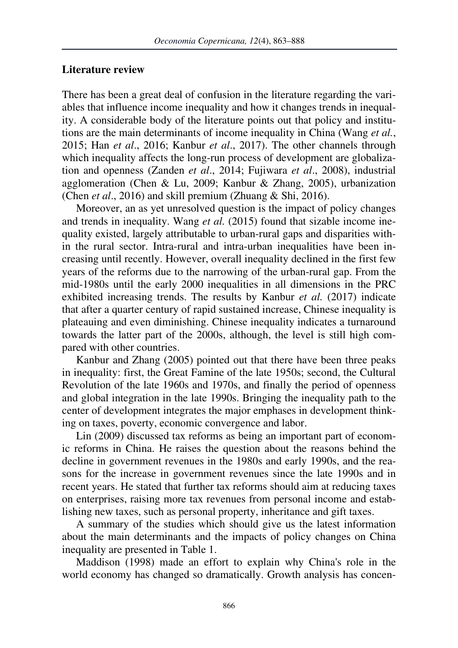### **Literature review**

There has been a great deal of confusion in the literature regarding the variables that influence income inequality and how it changes trends in inequality. A considerable body of the literature points out that policy and institutions are the main determinants of income inequality in China (Wang *et al.*, 2015; Han *et al*., 2016; Kanbur *et al*., 2017). The other channels through which inequality affects the long-run process of development are globalization and openness (Zanden *et al*., 2014; Fujiwara *et al*., 2008), industrial agglomeration (Chen & Lu, 2009; Kanbur & Zhang, 2005), urbanization (Chen *et al*., 2016) and skill premium (Zhuang & Shi, 2016).

Moreover, an as yet unresolved question is the impact of policy changes and trends in inequality. Wang *et al.* (2015) found that sizable income inequality existed, largely attributable to urban-rural gaps and disparities within the rural sector. Intra-rural and intra-urban inequalities have been increasing until recently. However, overall inequality declined in the first few years of the reforms due to the narrowing of the urban-rural gap. From the mid-1980s until the early 2000 inequalities in all dimensions in the PRC exhibited increasing trends. The results by Kanbur *et al.* (2017) indicate that after a quarter century of rapid sustained increase, Chinese inequality is plateauing and even diminishing. Chinese inequality indicates a turnaround towards the latter part of the 2000s, although, the level is still high compared with other countries.

Kanbur and Zhang (2005) pointed out that there have been three peaks in inequality: first, the Great Famine of the late 1950s; second, the Cultural Revolution of the late 1960s and 1970s, and finally the period of openness and global integration in the late 1990s. Bringing the inequality path to the center of development integrates the major emphases in development thinking on taxes, poverty, economic convergence and labor.

Lin (2009) discussed tax reforms as being an important part of economic reforms in China. He raises the question about the reasons behind the decline in government revenues in the 1980s and early 1990s, and the reasons for the increase in government revenues since the late 1990s and in recent years. He stated that further tax reforms should aim at reducing taxes on enterprises, raising more tax revenues from personal income and establishing new taxes, such as personal property, inheritance and gift taxes.

A summary of the studies which should give us the latest information about the main determinants and the impacts of policy changes on China inequality are presented in Table 1.

Maddison (1998) made an effort to explain why China's role in the world economy has changed so dramatically. Growth analysis has concen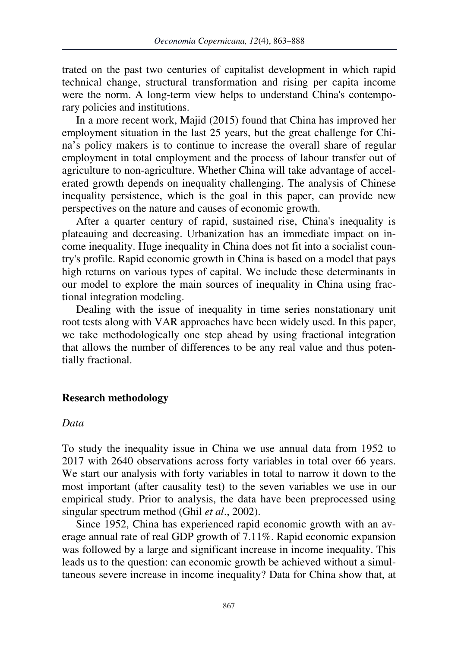trated on the past two centuries of capitalist development in which rapid technical change, structural transformation and rising per capita income were the norm. A long-term view helps to understand China's contemporary policies and institutions.

In a more recent work, Majid (2015) found that China has improved her employment situation in the last 25 years, but the great challenge for China's policy makers is to continue to increase the overall share of regular employment in total employment and the process of labour transfer out of agriculture to non-agriculture. Whether China will take advantage of accelerated growth depends on inequality challenging. The analysis of Chinese inequality persistence, which is the goal in this paper, can provide new perspectives on the nature and causes of economic growth.

After a quarter century of rapid, sustained rise, China's inequality is plateauing and decreasing. Urbanization has an immediate impact on income inequality. Huge inequality in China does not fit into a socialist country's profile. Rapid economic growth in China is based on a model that pays high returns on various types of capital. We include these determinants in our model to explore the main sources of inequality in China using fractional integration modeling.

Dealing with the issue of inequality in time series nonstationary unit root tests along with VAR approaches have been widely used. In this paper, we take methodologically one step ahead by using fractional integration that allows the number of differences to be any real value and thus potentially fractional.

### **Research methodology**

#### *Data*

To study the inequality issue in China we use annual data from 1952 to 2017 with 2640 observations across forty variables in total over 66 years. We start our analysis with forty variables in total to narrow it down to the most important (after causality test) to the seven variables we use in our empirical study. Prior to analysis, the data have been preprocessed using singular spectrum method (Ghil *et al*., 2002).

Since 1952, China has experienced rapid economic growth with an average annual rate of real GDP growth of 7.11%. Rapid economic expansion was followed by a large and significant increase in income inequality. This leads us to the question: can economic growth be achieved without a simultaneous severe increase in income inequality? Data for China show that, at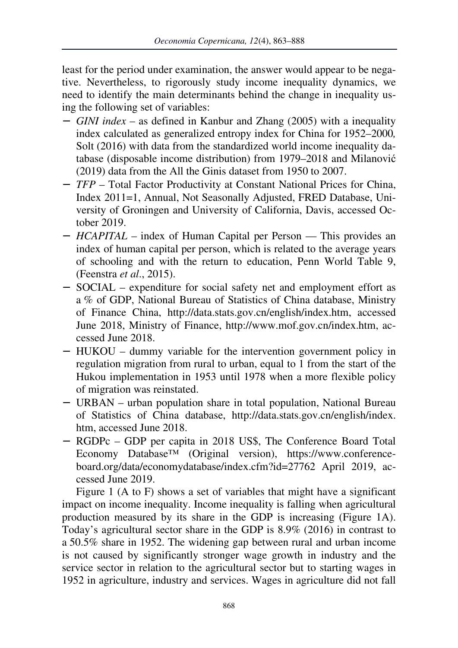least for the period under examination, the answer would appear to be negative. Nevertheless, to rigorously study income inequality dynamics, we need to identify the main determinants behind the change in inequality using the following set of variables:

- − *GINI index* as defined in Kanbur and Zhang (2005) with a inequality index calculated as generalized entropy index for China for 1952–2000*,*  Solt (2016) with data from the standardized world income inequality database (disposable income distribution) from 1979–2018 and Milanović (2019) data from the All the Ginis dataset from 1950 to 2007.
- − *TFP*  Total Factor Productivity at Constant National Prices for China, Index 2011=1, Annual, Not Seasonally Adjusted, FRED Database, University of Groningen and University of California, Davis, accessed October 2019.
- − *HCAPITAL* index of Human Capital per Person This provides an index of human capital per person, which is related to the average years of schooling and with the return to education, Penn World Table 9, (Feenstra *et al*., 2015).
- − SOCIAL expenditure for social safety net and employment effort as a % of GDP, National Bureau of Statistics of China database, Ministry of Finance China, http://data.stats.gov.cn/english/index.htm, accessed June 2018, Ministry of Finance, http://www.mof.gov.cn/index.htm, accessed June 2018.
- − HUKOU dummy variable for the intervention government policy in regulation migration from rural to urban, equal to 1 from the start of the Hukou implementation in 1953 until 1978 when a more flexible policy of migration was reinstated.
- − URBAN urban population share in total population, National Bureau of Statistics of China database, http://data.stats.gov.cn/english/index. htm, accessed June 2018.
- − RGDPc GDP per capita in 2018 US\$, The Conference Board Total Economy Database™ (Original version), https://www.conferenceboard.org/data/economydatabase/index.cfm?id=27762 April 2019, accessed June 2019.

Figure 1 (A to F) shows a set of variables that might have a significant impact on income inequality. Income inequality is falling when agricultural production measured by its share in the GDP is increasing (Figure 1A). Today's agricultural sector share in the GDP is 8.9% (2016) in contrast to a 50.5% share in 1952. The widening gap between rural and urban income is not caused by significantly stronger wage growth in industry and the service sector in relation to the agricultural sector but to starting wages in 1952 in agriculture, industry and services. Wages in agriculture did not fall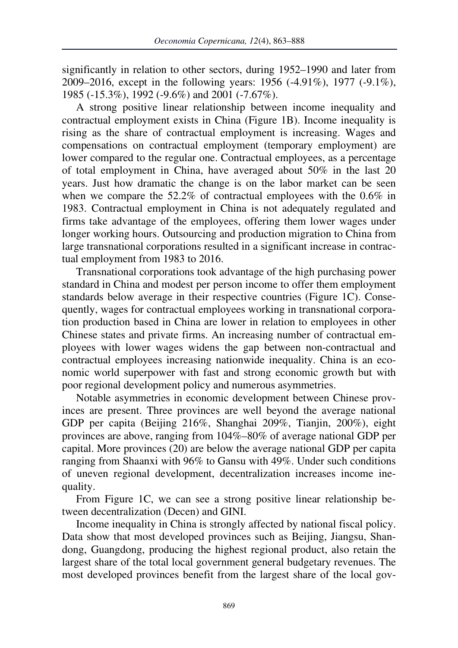significantly in relation to other sectors, during 1952–1990 and later from 2009–2016, except in the following years: 1956 (-4.91%), 1977 (-9.1%), 1985 (-15.3%), 1992 (-9.6%) and 2001 (-7.67%).

A strong positive linear relationship between income inequality and contractual employment exists in China (Figure 1B). Income inequality is rising as the share of contractual employment is increasing. Wages and compensations on contractual employment (temporary employment) are lower compared to the regular one. Contractual employees, as a percentage of total employment in China, have averaged about 50% in the last 20 years. Just how dramatic the change is on the labor market can be seen when we compare the 52.2% of contractual employees with the 0.6% in 1983. Contractual employment in China is not adequately regulated and firms take advantage of the employees, offering them lower wages under longer working hours. Outsourcing and production migration to China from large transnational corporations resulted in a significant increase in contractual employment from 1983 to 2016.

Transnational corporations took advantage of the high purchasing power standard in China and modest per person income to offer them employment standards below average in their respective countries (Figure 1C). Consequently, wages for contractual employees working in transnational corporation production based in China are lower in relation to employees in other Chinese states and private firms. An increasing number of contractual employees with lower wages widens the gap between non-contractual and contractual employees increasing nationwide inequality. China is an economic world superpower with fast and strong economic growth but with poor regional development policy and numerous asymmetries.

Notable asymmetries in economic development between Chinese provinces are present. Three provinces are well beyond the average national GDP per capita (Beijing 216%, Shanghai 209%, Tianjin, 200%), eight provinces are above, ranging from 104%–80% of average national GDP per capital. More provinces (20) are below the average national GDP per capita ranging from Shaanxi with 96% to Gansu with 49%. Under such conditions of uneven regional development, decentralization increases income inequality.

From Figure 1C, we can see a strong positive linear relationship between decentralization (Decen) and GINI.

Income inequality in China is strongly affected by national fiscal policy. Data show that most developed provinces such as Beijing, Jiangsu, Shandong, Guangdong, producing the highest regional product, also retain the largest share of the total local government general budgetary revenues. The most developed provinces benefit from the largest share of the local gov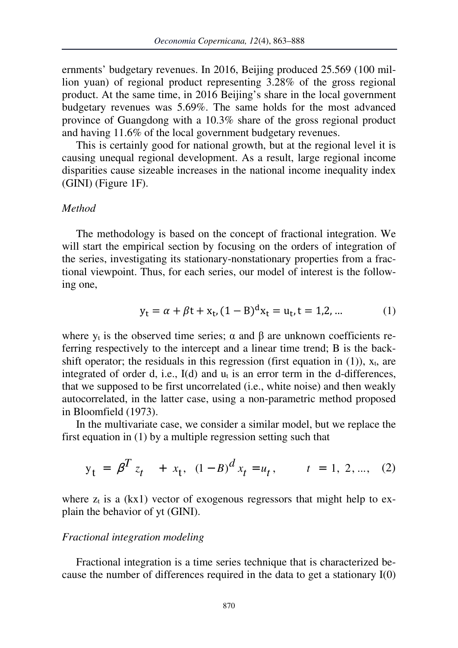ernments' budgetary revenues. In 2016, Beijing produced 25.569 (100 million yuan) of regional product representing 3.28% of the gross regional product. At the same time, in 2016 Beijing's share in the local government budgetary revenues was 5.69%. The same holds for the most advanced province of Guangdong with a 10.3% share of the gross regional product and having 11.6% of the local government budgetary revenues.

This is certainly good for national growth, but at the regional level it is causing unequal regional development. As a result, large regional income disparities cause sizeable increases in the national income inequality index (GINI) (Figure 1F).

### *Method*

The methodology is based on the concept of fractional integration. We will start the empirical section by focusing on the orders of integration of the series, investigating its stationary-nonstationary properties from a fractional viewpoint. Thus, for each series, our model of interest is the following one,

$$
y_{t} = \alpha + \beta t + x_{t}, (1 - B)^{d} x_{t} = u_{t}, t = 1, 2, ... \qquad (1)
$$

where  $y_t$  is the observed time series;  $\alpha$  and  $\beta$  are unknown coefficients referring respectively to the intercept and a linear time trend; B is the backshift operator; the residuals in this regression (first equation in (1)),  $x_t$ , are integrated of order d, i.e.,  $I(d)$  and  $u_t$  is an error term in the d-differences, that we supposed to be first uncorrelated (i.e., white noise) and then weakly autocorrelated, in the latter case, using a non-parametric method proposed in Bloomfield (1973).

In the multivariate case, we consider a similar model, but we replace the first equation in (1) by a multiple regression setting such that

$$
y_t = \beta^T z_t + x_t, (1 - B)^d x_t = u_t, \qquad t = 1, 2, ..., (2)
$$

where  $z_t$  is a (kx1) vector of exogenous regressors that might help to explain the behavior of yt (GINI).

#### *Fractional integration modeling*

Fractional integration is a time series technique that is characterized because the number of differences required in the data to get a stationary I(0)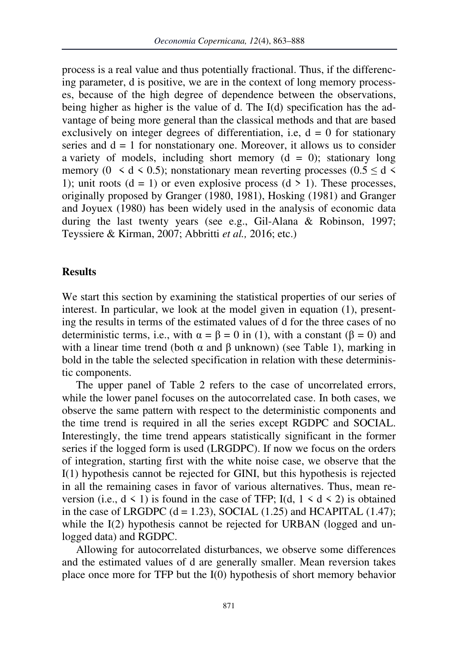process is a real value and thus potentially fractional. Thus, if the differencing parameter, d is positive, we are in the context of long memory processes, because of the high degree of dependence between the observations, being higher as higher is the value of d. The I(d) specification has the advantage of being more general than the classical methods and that are based exclusively on integer degrees of differentiation, i.e,  $d = 0$  for stationary series and  $d = 1$  for nonstationary one. Moreover, it allows us to consider a variety of models, including short memory  $(d = 0)$ ; stationary long memory (0  $\leq d \leq 0.5$ ); nonstationary mean reverting processes (0.5  $\leq d \leq$ 1); unit roots  $(d = 1)$  or even explosive process  $(d > 1)$ . These processes, originally proposed by Granger (1980, 1981), Hosking (1981) and Granger and Joyuex (1980) has been widely used in the analysis of economic data during the last twenty years (see e.g., Gil-Alana & Robinson, 1997; Teyssiere & Kirman, 2007; Abbritti *et al.,* 2016; etc.)

## **Results**

We start this section by examining the statistical properties of our series of interest. In particular, we look at the model given in equation (1), presenting the results in terms of the estimated values of d for the three cases of no deterministic terms, i.e., with  $\alpha = \beta = 0$  in (1), with a constant ( $\beta = 0$ ) and with a linear time trend (both  $\alpha$  and  $\beta$  unknown) (see Table 1), marking in bold in the table the selected specification in relation with these deterministic components.

The upper panel of Table 2 refers to the case of uncorrelated errors, while the lower panel focuses on the autocorrelated case. In both cases, we observe the same pattern with respect to the deterministic components and the time trend is required in all the series except RGDPC and SOCIAL. Interestingly, the time trend appears statistically significant in the former series if the logged form is used (LRGDPC). If now we focus on the orders of integration, starting first with the white noise case, we observe that the I(1) hypothesis cannot be rejected for GINI, but this hypothesis is rejected in all the remaining cases in favor of various alternatives. Thus, mean reversion (i.e.,  $d \le 1$ ) is found in the case of TFP; I(d,  $1 \le d \le 2$ ) is obtained in the case of LRGDPC  $(d = 1.23)$ , SOCIAL  $(1.25)$  and HCAPITAL  $(1.47)$ ; while the I(2) hypothesis cannot be rejected for URBAN (logged and unlogged data) and RGDPC.

Allowing for autocorrelated disturbances, we observe some differences and the estimated values of d are generally smaller. Mean reversion takes place once more for TFP but the I(0) hypothesis of short memory behavior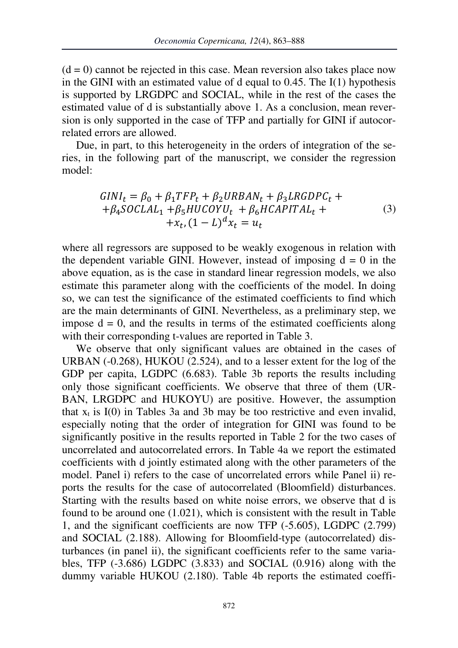$(d = 0)$  cannot be rejected in this case. Mean reversion also takes place now in the GINI with an estimated value of d equal to  $0.45$ . The I(1) hypothesis is supported by LRGDPC and SOCIAL, while in the rest of the cases the estimated value of d is substantially above 1. As a conclusion, mean reversion is only supported in the case of TFP and partially for GINI if autocorrelated errors are allowed.

Due, in part, to this heterogeneity in the orders of integration of the series, in the following part of the manuscript, we consider the regression model:

$$
GINI_t = \beta_0 + \beta_1 TFP_t + \beta_2 URBAN_t + \beta_3 LRGDPC_t + + \beta_4 SOCLAL_1 + \beta_5 HUCOYU_t + \beta_6 HCAPITAL_t + + x_t, (1 - L)^d x_t = u_t
$$
 (3)

where all regressors are supposed to be weakly exogenous in relation with the dependent variable GINI. However, instead of imposing  $d = 0$  in the above equation, as is the case in standard linear regression models, we also estimate this parameter along with the coefficients of the model. In doing so, we can test the significance of the estimated coefficients to find which are the main determinants of GINI. Nevertheless, as a preliminary step, we impose  $d = 0$ , and the results in terms of the estimated coefficients along with their corresponding t-values are reported in Table 3.

We observe that only significant values are obtained in the cases of URBAN (-0.268), HUKOU (2.524), and to a lesser extent for the log of the GDP per capita, LGDPC (6.683). Table 3b reports the results including only those significant coefficients. We observe that three of them (UR-BAN, LRGDPC and HUKOYU) are positive. However, the assumption that  $x_t$  is  $I(0)$  in Tables 3a and 3b may be too restrictive and even invalid, especially noting that the order of integration for GINI was found to be significantly positive in the results reported in Table 2 for the two cases of uncorrelated and autocorrelated errors. In Table 4a we report the estimated coefficients with d jointly estimated along with the other parameters of the model. Panel i) refers to the case of uncorrelated errors while Panel ii) reports the results for the case of autocorrelated (Bloomfield) disturbances. Starting with the results based on white noise errors, we observe that d is found to be around one (1.021), which is consistent with the result in Table 1, and the significant coefficients are now TFP (-5.605), LGDPC (2.799) and SOCIAL (2.188). Allowing for Bloomfield-type (autocorrelated) disturbances (in panel ii), the significant coefficients refer to the same variables, TFP (-3.686) LGDPC (3.833) and SOCIAL (0.916) along with the dummy variable HUKOU (2.180). Table 4b reports the estimated coeffi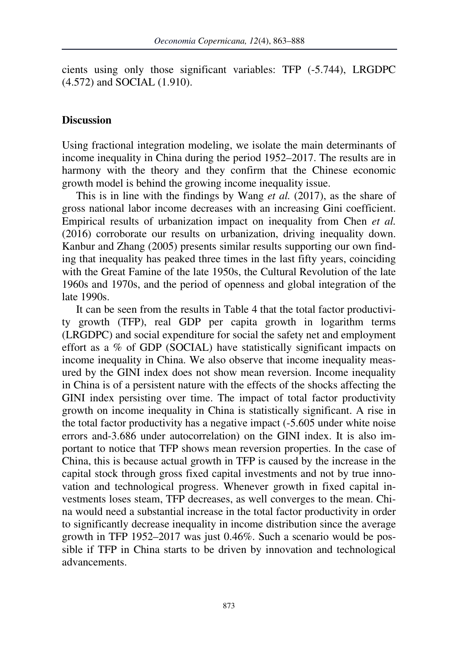cients using only those significant variables: TFP (-5.744), LRGDPC (4.572) and SOCIAL (1.910).

## **Discussion**

Using fractional integration modeling, we isolate the main determinants of income inequality in China during the period 1952–2017. The results are in harmony with the theory and they confirm that the Chinese economic growth model is behind the growing income inequality issue.

This is in line with the findings by Wang *et al.* (2017), as the share of gross national labor income decreases with an increasing Gini coefficient. Empirical results of urbanization impact on inequality from Chen *et al.*  (2016) corroborate our results on urbanization, driving inequality down. Kanbur and Zhang (2005) presents similar results supporting our own finding that inequality has peaked three times in the last fifty years, coinciding with the Great Famine of the late 1950s, the Cultural Revolution of the late 1960s and 1970s, and the period of openness and global integration of the late 1990s.

It can be seen from the results in Table 4 that the total factor productivity growth (TFP), real GDP per capita growth in logarithm terms (LRGDPC) and social expenditure for social the safety net and employment effort as a % of GDP (SOCIAL) have statistically significant impacts on income inequality in China. We also observe that income inequality measured by the GINI index does not show mean reversion. Income inequality in China is of a persistent nature with the effects of the shocks affecting the GINI index persisting over time. The impact of total factor productivity growth on income inequality in China is statistically significant. A rise in the total factor productivity has a negative impact (-5.605 under white noise errors and-3.686 under autocorrelation) on the GINI index. It is also important to notice that TFP shows mean reversion properties. In the case of China, this is because actual growth in TFP is caused by the increase in the capital stock through gross fixed capital investments and not by true innovation and technological progress. Whenever growth in fixed capital investments loses steam, TFP decreases, as well converges to the mean. China would need a substantial increase in the total factor productivity in order to significantly decrease inequality in income distribution since the average growth in TFP 1952–2017 was just 0.46%. Such a scenario would be possible if TFP in China starts to be driven by innovation and technological advancements.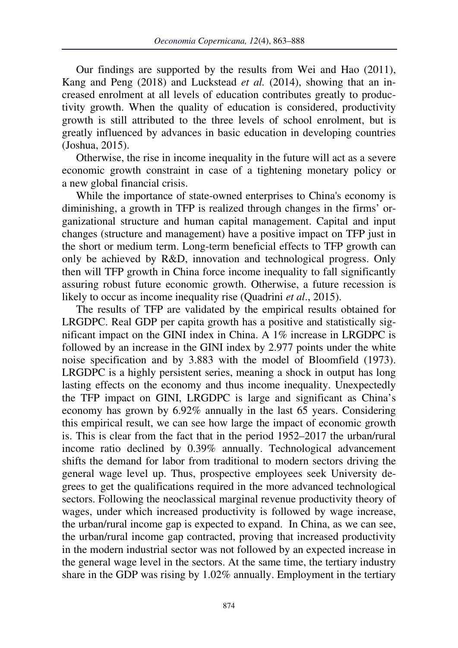Our findings are supported by the results from Wei and Hao (2011), Kang and Peng (2018) and Luckstead *et al.* (2014), showing that an increased enrolment at all levels of education contributes greatly to productivity growth. When the quality of education is considered, productivity growth is still attributed to the three levels of school enrolment, but is greatly influenced by advances in basic education in developing countries (Joshua, 2015).

Otherwise, the rise in income inequality in the future will act as a severe economic growth constraint in case of a tightening monetary policy or a new global financial crisis.

While the importance of state-owned enterprises to China's economy is diminishing, a growth in TFP is realized through changes in the firms' organizational structure and human capital management. Capital and input changes (structure and management) have a positive impact on TFP just in the short or medium term. Long-term beneficial effects to TFP growth can only be achieved by R&D, innovation and technological progress. Only then will TFP growth in China force income inequality to fall significantly assuring robust future economic growth. Otherwise, a future recession is likely to occur as income inequality rise (Quadrini *et al*., 2015).

The results of TFP are validated by the empirical results obtained for LRGDPC. Real GDP per capita growth has a positive and statistically significant impact on the GINI index in China. A 1% increase in LRGDPC is followed by an increase in the GINI index by 2.977 points under the white noise specification and by 3.883 with the model of Bloomfield (1973). LRGDPC is a highly persistent series, meaning a shock in output has long lasting effects on the economy and thus income inequality. Unexpectedly the TFP impact on GINI, LRGDPC is large and significant as China's economy has grown by 6.92% annually in the last 65 years. Considering this empirical result, we can see how large the impact of economic growth is. This is clear from the fact that in the period 1952–2017 the urban/rural income ratio declined by 0.39% annually. Technological advancement shifts the demand for labor from traditional to modern sectors driving the general wage level up. Thus, prospective employees seek University degrees to get the qualifications required in the more advanced technological sectors. Following the neoclassical marginal revenue productivity theory of wages, under which increased productivity is followed by wage increase, the urban/rural income gap is expected to expand. In China, as we can see, the urban/rural income gap contracted, proving that increased productivity in the modern industrial sector was not followed by an expected increase in the general wage level in the sectors. At the same time, the tertiary industry share in the GDP was rising by 1.02% annually. Employment in the tertiary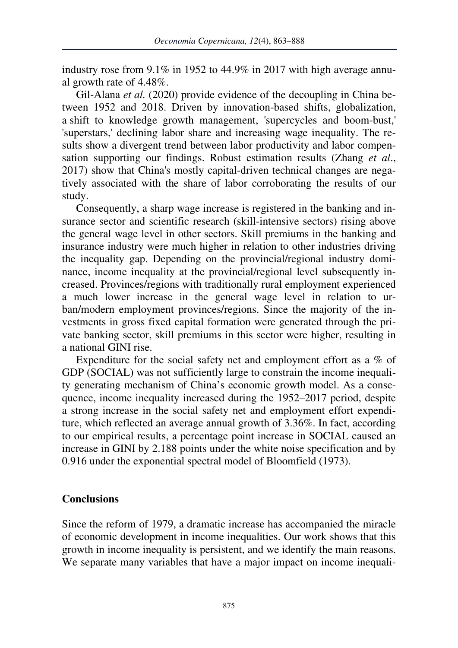industry rose from 9.1% in 1952 to 44.9% in 2017 with high average annual growth rate of 4.48%.

Gil-Alana *et al.* (2020) provide evidence of the decoupling in China between 1952 and 2018. Driven by innovation-based shifts, globalization, a shift to knowledge growth management, 'supercycles and boom-bust,' 'superstars,' declining labor share and increasing wage inequality. The results show a divergent trend between labor productivity and labor compensation supporting our findings. Robust estimation results (Zhang *et al*., 2017) show that China's mostly capital-driven technical changes are negatively associated with the share of labor corroborating the results of our study.

Consequently, a sharp wage increase is registered in the banking and insurance sector and scientific research (skill-intensive sectors) rising above the general wage level in other sectors. Skill premiums in the banking and insurance industry were much higher in relation to other industries driving the inequality gap. Depending on the provincial/regional industry dominance, income inequality at the provincial/regional level subsequently increased. Provinces/regions with traditionally rural employment experienced a much lower increase in the general wage level in relation to urban/modern employment provinces/regions. Since the majority of the investments in gross fixed capital formation were generated through the private banking sector, skill premiums in this sector were higher, resulting in a national GINI rise.

Expenditure for the social safety net and employment effort as a % of GDP (SOCIAL) was not sufficiently large to constrain the income inequality generating mechanism of China's economic growth model. As a consequence, income inequality increased during the 1952–2017 period, despite a strong increase in the social safety net and employment effort expenditure, which reflected an average annual growth of 3.36%. In fact, according to our empirical results, a percentage point increase in SOCIAL caused an increase in GINI by 2.188 points under the white noise specification and by 0.916 under the exponential spectral model of Bloomfield (1973).

## **Conclusions**

Since the reform of 1979, a dramatic increase has accompanied the miracle of economic development in income inequalities. Our work shows that this growth in income inequality is persistent, and we identify the main reasons. We separate many variables that have a major impact on income inequali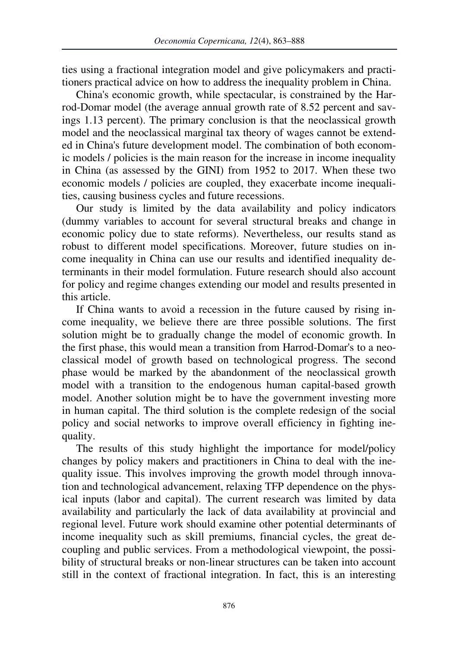ties using a fractional integration model and give policymakers and practitioners practical advice on how to address the inequality problem in China.

China's economic growth, while spectacular, is constrained by the Harrod-Domar model (the average annual growth rate of 8.52 percent and savings 1.13 percent). The primary conclusion is that the neoclassical growth model and the neoclassical marginal tax theory of wages cannot be extended in China's future development model. The combination of both economic models / policies is the main reason for the increase in income inequality in China (as assessed by the GINI) from 1952 to 2017. When these two economic models / policies are coupled, they exacerbate income inequalities, causing business cycles and future recessions.

Our study is limited by the data availability and policy indicators (dummy variables to account for several structural breaks and change in economic policy due to state reforms). Nevertheless, our results stand as robust to different model specifications. Moreover, future studies on income inequality in China can use our results and identified inequality determinants in their model formulation. Future research should also account for policy and regime changes extending our model and results presented in this article.

If China wants to avoid a recession in the future caused by rising income inequality, we believe there are three possible solutions. The first solution might be to gradually change the model of economic growth. In the first phase, this would mean a transition from Harrod-Domar's to a neoclassical model of growth based on technological progress. The second phase would be marked by the abandonment of the neoclassical growth model with a transition to the endogenous human capital-based growth model. Another solution might be to have the government investing more in human capital. The third solution is the complete redesign of the social policy and social networks to improve overall efficiency in fighting inequality.

The results of this study highlight the importance for model/policy changes by policy makers and practitioners in China to deal with the inequality issue. This involves improving the growth model through innovation and technological advancement, relaxing TFP dependence on the physical inputs (labor and capital). The current research was limited by data availability and particularly the lack of data availability at provincial and regional level. Future work should examine other potential determinants of income inequality such as skill premiums, financial cycles, the great decoupling and public services. From a methodological viewpoint, the possibility of structural breaks or non-linear structures can be taken into account still in the context of fractional integration. In fact, this is an interesting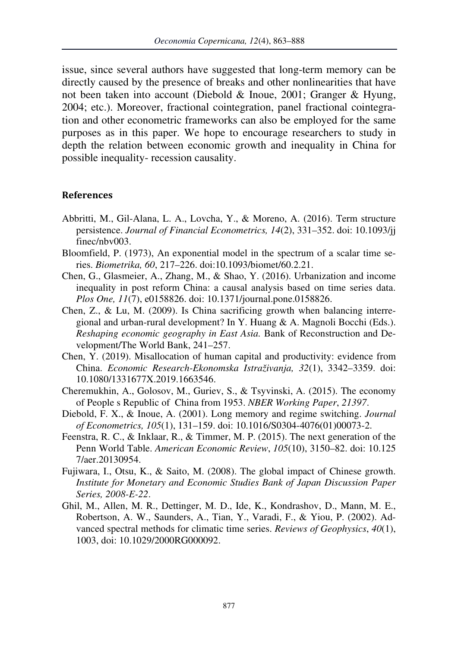issue, since several authors have suggested that long-term memory can be directly caused by the presence of breaks and other nonlinearities that have not been taken into account (Diebold & Inoue, 2001; Granger & Hyung, 2004; etc.). Moreover, fractional cointegration, panel fractional cointegration and other econometric frameworks can also be employed for the same purposes as in this paper. We hope to encourage researchers to study in depth the relation between economic growth and inequality in China for possible inequality- recession causality.

### **References**

- Abbritti, M., Gil-Alana, L. A., Lovcha, Y., & Moreno, A. (2016). Term structure persistence. *Journal of Financial Econometrics, 14*(2), 331–352. doi: 10.1093/jj finec/nbv003.
- Bloomfield, P. (1973), An exponential model in the spectrum of a scalar time series. *Biometrika, 60*, 217–226. doi:10.1093/biomet/60.2.21.
- Chen, G., Glasmeier, A., Zhang, M., & Shao, Y. (2016). Urbanization and income inequality in post reform China: a causal analysis based on time series data. *Plos One, 11*(7), e0158826. doi: 10.1371/journal.pone.0158826.
- Chen, Z., & Lu, M. (2009). Is China sacrificing growth when balancing interregional and urban-rural development? In Y. Huang & A. Magnoli Bocchi (Eds.). *Reshaping economic geography in East Asia.* Bank of Reconstruction and Development/The World Bank, 241–257.
- Chen, Y. (2019). Misallocation of human capital and productivity: evidence from China. *Economic Research-Ekonomska Istraživanja, 32*(1), 3342–3359. doi: 10.1080/1331677X.2019.1663546.
- Cheremukhin, A., Golosov, M., Guriev, S., & Tsyvinski, A. (2015). The economy of People s Republic of China from 1953. *NBER Working Paper*, *21397*.
- Diebold, F. X., & Inoue, A. (2001). Long memory and regime switching. *Journal of Econometrics, 105*(1), 131–159. doi: 10.1016/S0304-4076(01)00073-2.
- Feenstra, R. C., & Inklaar, R., & Timmer, M. P. (2015). The next generation of the Penn World Table. *American Economic Review*, *105*(10), 3150–82. doi: 10.125 7/aer.20130954.
- Fujiwara, I., Otsu, K., & Saito, M. (2008). The global impact of Chinese growth. *Institute for Monetary and Economic Studies Bank of Japan Discussion Paper Series, 2008-E-22*.
- Ghil, M., Allen, M. R., Dettinger, M. D., Ide, K., Kondrashov, D., Mann, M. E., Robertson, A. W., Saunders, A., Tian, Y., Varadi, F., & Yiou, P. (2002). Advanced spectral methods for climatic time series. *Reviews of Geophysics*, *40*(1), 1003, doi: 10.1029/2000RG000092.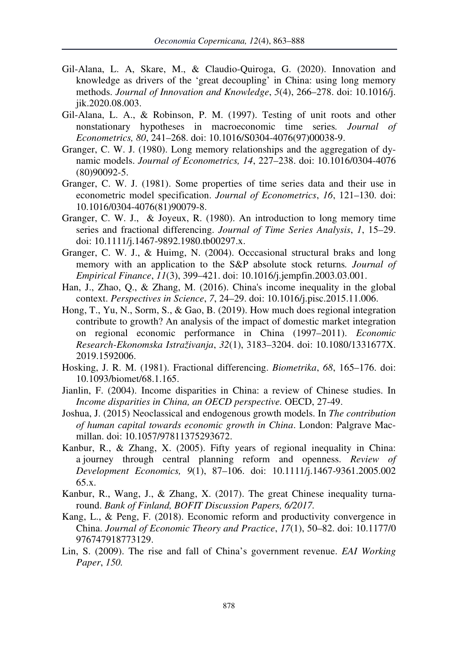- Gil-Alana, L. A, Skare, M., & Claudio-Quiroga, G. (2020). Innovation and knowledge as drivers of the 'great decoupling' in China: using long memory methods. *Journal of Innovation and Knowledge*, *5*(4), 266–278. doi: 10.1016/j. jik.2020.08.003.
- Gil-Alana, L. A., & Robinson, P. M. (1997). Testing of unit roots and other nonstationary hypotheses in macroeconomic time series*. Journal of Econometrics, 80*, 241–268. doi: 10.1016/S0304-4076(97)00038-9.
- Granger, C. W. J. (1980). Long memory relationships and the aggregation of dynamic models. *Journal of Econometrics, 14*, 227–238. doi: 10.1016/0304-4076 (80)90092-5.
- Granger, C. W. J. (1981). Some properties of time series data and their use in econometric model specification. *Journal of Econometrics*, *16*, 121–130. doi: 10.1016/0304-4076(81)90079-8.
- Granger, C. W. J., & Joyeux, R. (1980). An introduction to long memory time series and fractional differencing. *Journal of Time Series Analysis*, *1*, 15–29. doi: 10.1111/j.1467-9892.1980.tb00297.x.
- Granger, C. W. J., & Huimg, N. (2004). Occcasional structural braks and long memory with an application to the S&P absolute stock returns*. Journal of Empirical Finance*, *11*(3), 399–421. doi: 10.1016/j.jempfin.2003.03.001.
- Han, J., Zhao, Q., & Zhang, M. (2016). China's income inequality in the global context. *Perspectives in Science*, *7*, 24–29. doi: 10.1016/j.pisc.2015.11.006.
- Hong, T., Yu, N., Sorm, S., & Gao, B. (2019). How much does regional integration contribute to growth? An analysis of the impact of domestic market integration on regional economic performance in China (1997–2011). *Economic Research-Ekonomska Istraživanja*, *32*(1), 3183–3204. doi: 10.1080/1331677X. 2019.1592006.
- Hosking, J. R. M. (1981). Fractional differencing. *Biometrika*, *68*, 165–176. doi: 10.1093/biomet/68.1.165.
- Jianlin, F. (2004). Income disparities in China: a review of Chinese studies. In *Income disparities in China, an OECD perspective.* OECD, 27-49.
- Joshua, J. (2015) Neoclassical and endogenous growth models. In *The contribution of human capital towards economic growth in China*. London: Palgrave Macmillan. doi: 10.1057/97811375293672.
- Kanbur, R., & Zhang, X. (2005). Fifty years of regional inequality in China: a journey through central planning reform and openness. *Review of Development Economics, 9*(1), 87–106. doi: 10.1111/j.1467-9361.2005.002 65.x.
- Kanbur, R., Wang, J., & Zhang, X. (2017). The great Chinese inequality turnaround. *Bank of Finland, BOFIT Discussion Papers, 6/2017.*
- Kang, L., & Peng, F. (2018). Economic reform and productivity convergence in China. *Journal of Economic Theory and Practice*, *17*(1), 50–82. doi: 10.1177/0 976747918773129.
- Lin, S. (2009). The rise and fall of China's government revenue. *EAI Working Paper*, *150.*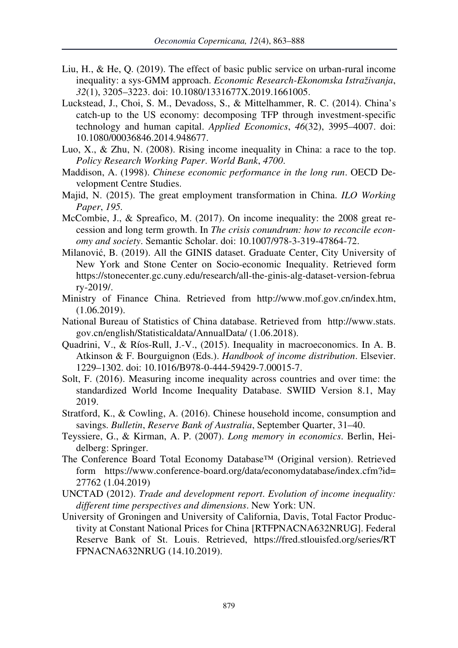- Liu, H., & He, Q. (2019). The effect of basic public service on urban-rural income inequality: a sys-GMM approach. *Economic Research-Ekonomska Istraživanja*, *32*(1), 3205–3223. doi: 10.1080/1331677X.2019.1661005.
- Luckstead, J., Choi, S. M., Devadoss, S., & Mittelhammer, R. C. (2014). China's catch-up to the US economy: decomposing TFP through investment-specific technology and human capital. *Applied Economics*, *46*(32), 3995–4007. doi: 10.1080/00036846.2014.948677.
- Luo, X., & Zhu, N. (2008). Rising income inequality in China: a race to the top. *Policy Research Working Paper*. *World Bank*, *4700*.
- Maddison, A. (1998). *Chinese economic performance in the long run*. OECD Development Centre Studies.
- Majid, N. (2015). The great employment transformation in China. *ILO Working Paper*, *195.*
- McCombie, J., & Spreafico, M. (2017). On income inequality: the 2008 great recession and long term growth. In *The crisis conundrum: how to reconcile economy and society*. Semantic Scholar. doi: 10.1007/978-3-319-47864-72.
- Milanović, B. (2019). All the GINIS dataset. Graduate Center, City University of New York and Stone Center on Socio-economic Inequality. Retrieved form https://stonecenter.gc.cuny.edu/research/all-the-ginis-alg-dataset-version-februa ry-2019/.
- Ministry of Finance China. Retrieved from http://www.mof.gov.cn/index.htm, (1.06.2019).
- National Bureau of Statistics of China database. Retrieved from http://www.stats. gov.cn/english/Statisticaldata/AnnualData/ (1.06.2018).
- Quadrini, V., & Ríos-Rull, J.-V., (2015). Inequality in macroeconomics. In A. B. Atkinson & F. Bourguignon (Eds.). *Handbook of income distribution*. Elsevier. 1229–1302. doi: 10.1016/B978-0-444-59429-7.00015-7.
- Solt, F. (2016). Measuring income inequality across countries and over time: the standardized World Income Inequality Database. SWIID Version 8.1, May 2019.
- Stratford, K., & Cowling, A. (2016). Chinese household income, consumption and savings. *Bulletin*, *Reserve Bank of Australia*, September Quarter, 31–40.
- Teyssiere, G., & Kirman, A. P. (2007). *Long memory in economics*. Berlin, Heidelberg: Springer.
- The Conference Board Total Economy Database™ (Original version). Retrieved form https://www.conference-board.org/data/economydatabase/index.cfm?id= 27762 (1.04.2019)
- UNCTAD (2012). *Trade and development report*. *Evolution of income inequality: different time perspectives and dimensions*. New York: UN.
- University of Groningen and University of California, Davis, Total Factor Productivity at Constant National Prices for China [RTFPNACNA632NRUG]. Federal Reserve Bank of St. Louis. Retrieved, https://fred.stlouisfed.org/series/RT FPNACNA632NRUG (14.10.2019).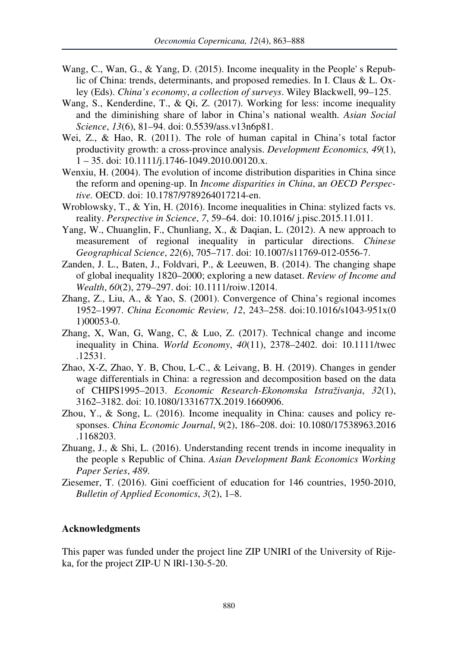- Wang, C., Wan, G., & Yang, D. (2015). Income inequality in the People' s Republic of China: trends, determinants, and proposed remedies. In I. Claus & L. Oxley (Eds). *China's economy*, *a collection of surveys*. Wiley Blackwell, 99–125.
- Wang, S., Kenderdine, T., & Qi, Z. (2017). Working for less: income inequality and the diminishing share of labor in China's national wealth. *Asian Social Science*, *13*(6), 81–94. doi: 0.5539/ass.v13n6p81.
- Wei, Z., & Hao, R. (2011). The role of human capital in China's total factor productivity growth: a cross-province analysis. *Development Economics, 49*(1), 1 – 35. doi: 10.1111/j.1746-1049.2010.00120.x.
- Wenxiu, H. (2004). The evolution of income distribution disparities in China since the reform and opening-up. In *Income disparities in China*, a*n OECD Perspective.* OECD. doi: 10.1787/9789264017214-en.
- Wroblowsky, T., & Yin, H. (2016). Income inequalities in China: stylized facts vs. reality. *Perspective in Science*, *7*, 59–64. doi: 10.1016/ j.pisc.2015.11.011.
- Yang, W., Chuanglin, F., Chunliang, X., & Daqian, L. (2012). A new approach to measurement of regional inequality in particular directions. *Chinese Geographical Science*, *22*(6), 705–717. doi: 10.1007/s11769-012-0556-7.
- Zanden, J. L., Baten, J., Foldvari, P., & Leeuwen, B. (2014). The changing shape of global inequality 1820–2000; exploring a new dataset. *Review of Income and Wealth*, *60*(2), 279–297. doi: 10.1111/roiw.12014.
- Zhang, Z., Liu, A., & Yao, S. (2001). Convergence of China's regional incomes 1952–1997. *China Economic Review, 12*, 243–258. doi:10.1016/s1043-951x(0 1)00053-0.
- Zhang, X, Wan, G, Wang, C, & Luo, Z. (2017). Technical change and income inequality in China. *World Economy*, *40*(11), 2378–2402. doi: 10.1111/twec .12531.
- Zhao, X-Z, Zhao, Y. B, Chou, L-C., & Leivang, B. H. (2019). Changes in gender wage differentials in China: a regression and decomposition based on the data of CHIPS1995–2013. *Economic Research-Ekonomska Istraživanja*, *32*(1), 3162–3182. doi: 10.1080/1331677X.2019.1660906.
- Zhou, Y., & Song, L. (2016). Income inequality in China: causes and policy responses. *China Economic Journal*, *9*(2), 186–208. doi: 10.1080/17538963.2016 .1168203.
- Zhuang, J., & Shi, L. (2016). Understanding recent trends in income inequality in the people s Republic of China. *Asian Development Bank Economics Working Paper Series*, *489*.
- Ziesemer, T. (2016). Gini coefficient of education for 146 countries, 1950-2010, *Bulletin of Applied Economics*, *3*(2), 1–8.

#### **Acknowledgments**

This paper was funded under the project line ZIP UNIRI of the University of Rijeka, for the project ZIP-U N lRl-130-5-20.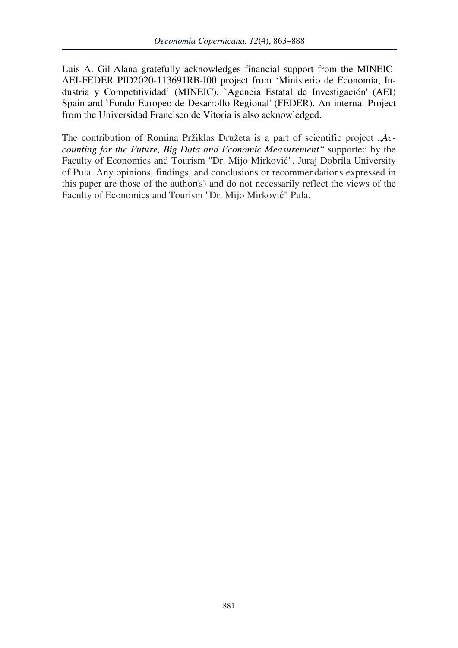Luis A. Gil-Alana gratefully acknowledges financial support from the MINEIC-AEI-FEDER PID2020-113691RB-I00 project from 'Ministerio de Economía, Industria y Competitividad' (MINEIC), `Agencia Estatal de Investigación' (AEI) Spain and `Fondo Europeo de Desarrollo Regional' (FEDER). An internal Project from the Universidad Francisco de Vitoria is also acknowledged.

The contribution of Romina Pržiklas Družeta is a part of scientific project , *Accounting for the Future, Big Data and Economic Measurement"* supported by the Faculty of Economics and Tourism "Dr. Mijo Mirković", Juraj Dobrila University of Pula. Any opinions, findings, and conclusions or recommendations expressed in this paper are those of the author(s) and do not necessarily reflect the views of the Faculty of Economics and Tourism "Dr. Mijo Mirković" Pula.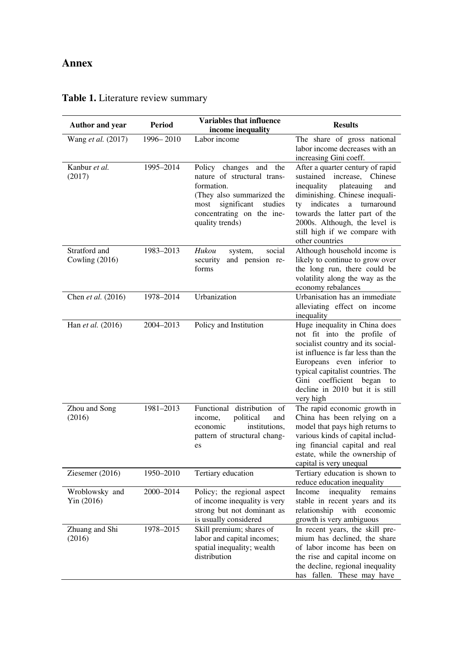# **Annex**

| <b>Author and year</b>            | Period    | <b>Variables that influence</b><br>income inequality                                                                                                                                     | <b>Results</b>                                                                                                                                                                                                                                                                                          |
|-----------------------------------|-----------|------------------------------------------------------------------------------------------------------------------------------------------------------------------------------------------|---------------------------------------------------------------------------------------------------------------------------------------------------------------------------------------------------------------------------------------------------------------------------------------------------------|
| Wang et al. (2017)                | 1996-2010 | Labor income                                                                                                                                                                             | The share of gross national<br>labor income decreases with an<br>increasing Gini coeff.                                                                                                                                                                                                                 |
| Kanbur et al.<br>(2017)           | 1995-2014 | Policy<br>changes<br>and the<br>nature of structural trans-<br>formation.<br>(They also summarized the<br>significant<br>studies<br>most<br>concentrating on the ine-<br>quality trends) | After a quarter century of rapid<br>increase,<br>sustained<br>Chinese<br>inequality<br>plateauing<br>and<br>diminishing. Chinese inequali-<br>indicates<br>turnaround<br>ty<br>a<br>towards the latter part of the<br>2000s. Although, the level is<br>still high if we compare with<br>other countries |
| Stratford and<br>Cowling $(2016)$ | 1983-2013 | Hukou<br>social<br>system,<br>security<br>and pension re-<br>forms                                                                                                                       | Although household income is<br>likely to continue to grow over<br>the long run, there could be<br>volatility along the way as the<br>economy rebalances                                                                                                                                                |
| Chen et al. (2016)                | 1978-2014 | Urbanization                                                                                                                                                                             | Urbanisation has an immediate<br>alleviating effect on income<br>inequality                                                                                                                                                                                                                             |
| Han et al. (2016)                 | 2004-2013 | Policy and Institution                                                                                                                                                                   | Huge inequality in China does<br>not fit into the profile of<br>socialist country and its social-<br>ist influence is far less than the<br>Europeans even inferior to<br>typical capitalist countries. The<br>Gini coefficient began<br>to<br>decline in 2010 but it is still<br>very high              |
| Zhou and Song<br>(2016)           | 1981-2013 | Functional distribution of<br>political<br>and<br>income.<br>institutions.<br>economic<br>pattern of structural chang-<br>es                                                             | The rapid economic growth in<br>China has been relying on a<br>model that pays high returns to<br>various kinds of capital includ-<br>ing financial capital and real<br>estate, while the ownership of<br>capital is very unequal                                                                       |
| Ziesemer (2016)                   | 1950-2010 | Tertiary education                                                                                                                                                                       | Tertiary education is shown to<br>reduce education inequality                                                                                                                                                                                                                                           |
| Wroblowsky and<br>Yin (2016)      | 2000-2014 | Policy; the regional aspect<br>of income inequality is very<br>strong but not dominant as<br>is usually considered                                                                       | inequality<br>Income<br>remains<br>stable in recent years and its<br>relationship<br>with economic<br>growth is very ambiguous                                                                                                                                                                          |
| Zhuang and Shi<br>(2016)          | 1978-2015 | Skill premium; shares of<br>labor and capital incomes;<br>spatial inequality; wealth<br>distribution                                                                                     | In recent years, the skill pre-<br>mium has declined, the share<br>of labor income has been on<br>the rise and capital income on<br>the decline, regional inequality<br>has fallen. These may have                                                                                                      |

# **Table 1.** Literature review summary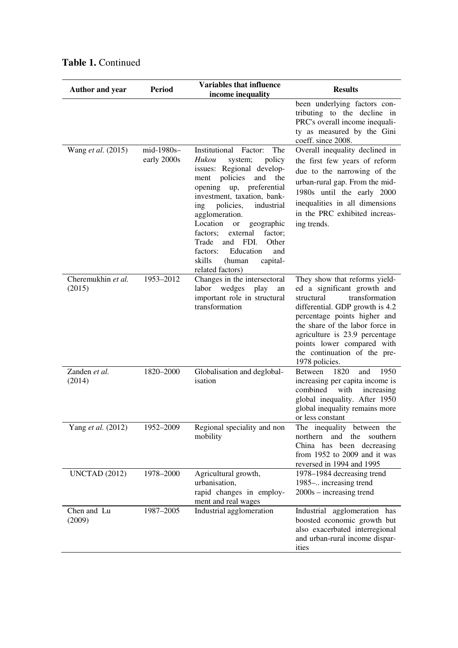| <b>Author and year</b>       | Period                    | Variables that influence<br>income inequality                                                                                                                                                                                                                                                                                                                                                                                                 | <b>Results</b>                                                                                                                                                                                                                                                                                                       |
|------------------------------|---------------------------|-----------------------------------------------------------------------------------------------------------------------------------------------------------------------------------------------------------------------------------------------------------------------------------------------------------------------------------------------------------------------------------------------------------------------------------------------|----------------------------------------------------------------------------------------------------------------------------------------------------------------------------------------------------------------------------------------------------------------------------------------------------------------------|
|                              |                           |                                                                                                                                                                                                                                                                                                                                                                                                                                               | been underlying factors con-<br>tributing to the decline in<br>PRC's overall income inequali-<br>ty as measured by the Gini<br>coeff. since 2008.                                                                                                                                                                    |
| Wang et al. (2015)           | mid-1980s-<br>early 2000s | Institutional<br>Factor:<br>The<br>Hukou<br>system;<br>policy<br>issues: Regional develop-<br>policies<br>and<br>ment<br>the<br>opening up,<br>preferential<br>investment, taxation, bank-<br>policies,<br>industrial<br>ing<br>agglomeration.<br>Location<br><b>or</b><br>geographic<br>factors;<br>external<br>factor;<br>Trade<br>and<br>FDI.<br>Other<br>factors:<br>Education<br>and<br>skills<br>(human<br>capital-<br>related factors) | Overall inequality declined in<br>the first few years of reform<br>due to the narrowing of the<br>urban-rural gap. From the mid-<br>1980s until the early 2000<br>inequalities in all dimensions<br>in the PRC exhibited increas-<br>ing trends.                                                                     |
| Cheremukhin et al.<br>(2015) | 1953-2012                 | Changes in the intersectoral<br>wedges<br>labor<br>play<br>an<br>important role in structural<br>transformation                                                                                                                                                                                                                                                                                                                               | They show that reforms yield-<br>ed a significant growth and<br>transformation<br>structural<br>differential. GDP growth is 4.2<br>percentage points higher and<br>the share of the labor force in<br>agriculture is 23.9 percentage<br>points lower compared with<br>the continuation of the pre-<br>1978 policies. |
| Zanden et al.<br>(2014)      | 1820-2000                 | Globalisation and deglobal-<br>isation                                                                                                                                                                                                                                                                                                                                                                                                        | 1820<br><b>Between</b><br>and<br>1950<br>increasing per capita income is<br>combined<br>with<br>increasing<br>global inequality. After 1950<br>global inequality remains more<br>or less constant                                                                                                                    |
| Yang et al. (2012)           | 1952-2009                 | Regional speciality and non<br>mobility                                                                                                                                                                                                                                                                                                                                                                                                       | The inequality between the<br>northern<br>and the<br>southern<br>China has been decreasing<br>from $1952$ to $2009$ and it was<br>reversed in 1994 and 1995                                                                                                                                                          |
| <b>UNCTAD</b> (2012)         | 1978-2000                 | Agricultural growth,<br>urbanisation,<br>rapid changes in employ-<br>ment and real wages                                                                                                                                                                                                                                                                                                                                                      | 1978-1984 decreasing trend<br>1985- increasing trend<br>$2000s - increasing trend$                                                                                                                                                                                                                                   |
| Chen and Lu<br>(2009)        | 1987-2005                 | Industrial agglomeration                                                                                                                                                                                                                                                                                                                                                                                                                      | Industrial agglomeration has<br>boosted economic growth but<br>also exacerbated interregional<br>and urban-rural income dispar-<br>ities                                                                                                                                                                             |

# **Table 1.** Continued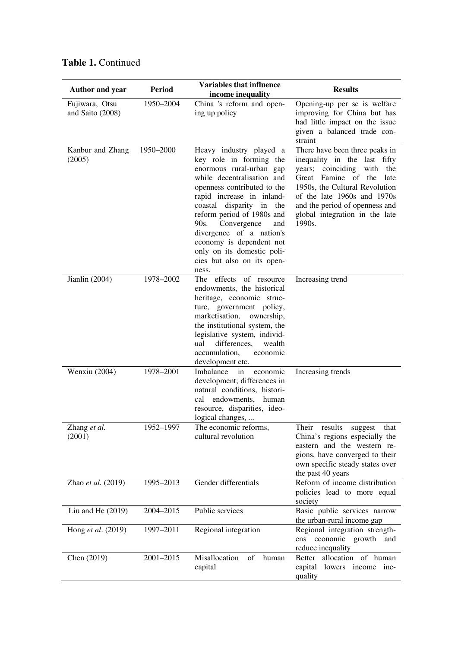| <b>Author and year</b>             | Period    | Variables that influence<br>income inequality                                                                                                                                                                                                                                                                                                                                                    | <b>Results</b>                                                                                                                                                                                                                                                             |
|------------------------------------|-----------|--------------------------------------------------------------------------------------------------------------------------------------------------------------------------------------------------------------------------------------------------------------------------------------------------------------------------------------------------------------------------------------------------|----------------------------------------------------------------------------------------------------------------------------------------------------------------------------------------------------------------------------------------------------------------------------|
| Fujiwara, Otsu<br>and Saito (2008) | 1950-2004 | China 's reform and open-<br>ing up policy                                                                                                                                                                                                                                                                                                                                                       | Opening-up per se is welfare<br>improving for China but has<br>had little impact on the issue<br>given a balanced trade con-<br>straint                                                                                                                                    |
| Kanbur and Zhang<br>(2005)         | 1950-2000 | Heavy industry played a<br>key role in forming the<br>enormous rural-urban gap<br>while decentralisation and<br>openness contributed to the<br>rapid increase in inland-<br>coastal disparity in<br>the<br>reform period of 1980s and<br>90s.<br>Convergence<br>and<br>divergence of a nation's<br>economy is dependent not<br>only on its domestic poli-<br>cies but also on its open-<br>ness. | There have been three peaks in<br>inequality in the last fifty<br>years; coinciding<br>with the<br>Great Famine of the late<br>1950s, the Cultural Revolution<br>of the late 1960s and 1970s<br>and the period of openness and<br>global integration in the late<br>1990s. |
| Jianlin (2004)                     | 1978-2002 | The effects of resource<br>endowments, the historical<br>heritage, economic struc-<br>ture, government policy,<br>marketisation,<br>ownership,<br>the institutional system, the<br>legislative system, individ-<br>differences,<br>ual<br>wealth<br>accumulation,<br>economic<br>development etc.                                                                                                | Increasing trend                                                                                                                                                                                                                                                           |
| Wenxiu (2004)                      | 1978-2001 | Imbalance<br>in<br>economic<br>development; differences in<br>natural conditions, histori-<br>cal endowments, human<br>resource, disparities, ideo-<br>logical changes,                                                                                                                                                                                                                          | Increasing trends                                                                                                                                                                                                                                                          |
| Zhang et al.<br>(2001)             | 1952-1997 | The economic reforms,<br>cultural revolution                                                                                                                                                                                                                                                                                                                                                     | Their results<br>suggest<br>that<br>China's regions especially the<br>eastern and the western re-<br>gions, have converged to their<br>own specific steady states over<br>the past 40 years                                                                                |
| Zhao et al. (2019)                 | 1995-2013 | Gender differentials                                                                                                                                                                                                                                                                                                                                                                             | Reform of income distribution<br>policies lead to more equal<br>society                                                                                                                                                                                                    |
| Liu and He $(2019)$                | 2004-2015 | Public services                                                                                                                                                                                                                                                                                                                                                                                  | Basic public services narrow<br>the urban-rural income gap                                                                                                                                                                                                                 |
| Hong et al. (2019)                 | 1997-2011 | Regional integration                                                                                                                                                                                                                                                                                                                                                                             | Regional integration strength-<br>economic growth<br>and<br>ens<br>reduce inequality                                                                                                                                                                                       |
| Chen (2019)                        | 2001-2015 | Misallocation<br>of<br>human<br>capital                                                                                                                                                                                                                                                                                                                                                          | Better allocation of human<br>capital lowers income ine-<br>quality                                                                                                                                                                                                        |

# **Table 1.** Continued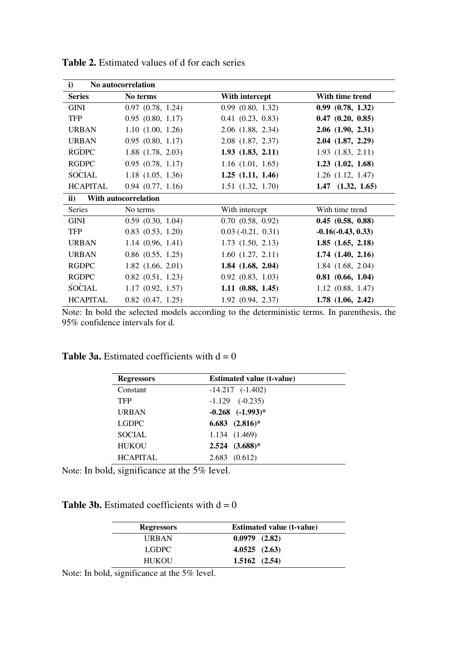| i)              | No autocorrelation    |                       |                       |
|-----------------|-----------------------|-----------------------|-----------------------|
| <b>Series</b>   | No terms              | With intercept        | With time trend       |
| GINI            | $0.97$ $(0.78, 1.24)$ | 0.99(0.80, 1.32)      | $0.99$ $(0.78, 1.32)$ |
| <b>TFP</b>      | $0.95$ $(0.80, 1.17)$ | $0.41$ $(0.23, 0.83)$ | $0.47$ $(0.20, 0.85)$ |
| <b>URBAN</b>    | $1.10$ $(1.00, 1.26)$ | $2.06$ $(1.88, 2.34)$ | $2.06$ $(1.90, 2.31)$ |
| <b>URBAN</b>    | $0.95$ $(0.80, 1.17)$ | $2.08$ $(1.87, 2.37)$ | $2.04$ $(1.87, 2.29)$ |
| <b>RGDPC</b>    | 1.88 (1.78, 2.03)     | 1.93(1.83, 2.11)      | $1.93$ $(1.83, 2.11)$ |
| <b>RGDPC</b>    | $0.95$ $(0.78, 1.17)$ | $1.16$ $(1.01, 1.65)$ | $1.23$ $(1.02, 1.68)$ |
| <b>SOCIAL</b>   | $1.18$ $(1.05, 1.36)$ | $1.25$ $(1.11, 1.46)$ | $1.26$ $(1.12, 1.47)$ |
| <b>HCAPITAL</b> | $0.94$ $(0.77, 1.16)$ | $1.51$ $(1.32, 1.70)$ | $1.47$ $(1.32, 1.65)$ |
| $\mathbf{ii}$   | With autocorrelation  |                       |                       |
| <b>Series</b>   | No terms              | With intercept        | With time trend       |
| GINI            | $0.59$ $(0.30, 1.04)$ | $0.70$ $(0.58, 0.92)$ | $0.45$ $(0.58, 0.88)$ |
| TFP             | $0.83$ $(0.53, 1.20)$ | $0.03(-0.21, 0.31)$   | $-0.16(-0.43, 0.33)$  |
| <b>URBAN</b>    | 1.14(0.96, 1.41)      | $1.73$ $(1.50, 2.13)$ | $1.85$ $(1.65, 2.18)$ |
| <b>URBAN</b>    | $0.86$ $(0.55, 1.25)$ | $1.60$ $(1.27, 2.11)$ | $1.74$ $(1.40, 2.16)$ |
| <b>RGDPC</b>    | $1.82$ $(1.66, 2.01)$ | $1.84$ $(1.68, 2.04)$ | $1.84$ $(1.68, 2.04)$ |
| <b>RGDPC</b>    | $0.82$ $(0.51, 1.23)$ | $0.92$ $(0.83, 1.03)$ | $0.81$ $(0.66, 1.04)$ |
| <b>SOCIAL</b>   | $1.17$ $(0.92, 1.57)$ | $1.11 \ (0.88, 1.45)$ | $1.12$ $(0.88, 1.47)$ |
| <b>HCAPITAL</b> | $0.82$ $(0.47, 1.25)$ | $1.92$ $(0.94, 2.37)$ | $1.78$ $(1.06, 2.42)$ |

**Table 2.** Estimated values of d for each series

Note: In bold the selected models according to the deterministic terms. In parenthesis, the 95% confidence intervals for d.

| <b>Table 3a.</b> Estimated coefficients with $d = 0$ |  |  |  |  |
|------------------------------------------------------|--|--|--|--|
|------------------------------------------------------|--|--|--|--|

| <b>Regressors</b> | <b>Estimated value (t-value)</b> |  |
|-------------------|----------------------------------|--|
| Constant          | $-14.217$ $(-1.402)$             |  |
| <b>TFP</b>        | $-1.129$ $(-0.235)$              |  |
| URBAN             | $-0.268$ $(-1.993)*$             |  |
| LGDPC             | $6.683$ $(2.816)*$               |  |
| SOCIAL.           | 1.134 (1.469)                    |  |
| <b>HUKOU</b>      | $2.524$ $(3.688)*$               |  |
| <b>HCAPITAL</b>   | $2.683$ $(0.612)$                |  |

Note: In bold, significance at the 5% level.

**Table 3b.** Estimated coefficients with  $d = 0$ 

| <b>Regressors</b> | <b>Estimated value (t-value)</b> |
|-------------------|----------------------------------|
| URBAN             | $0.0979$ $(2.82)$                |
| LGDPC.            | 4.0525(2.63)                     |
| HUKOU             | 1.5162(2.54)                     |

Note: In bold, significance at the 5% level.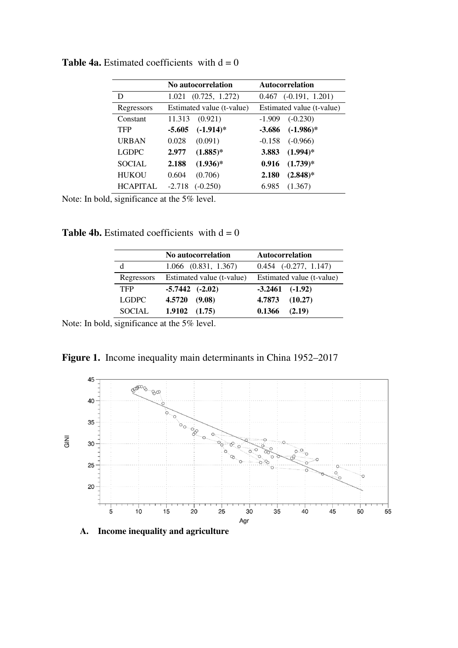|                 | No autocorrelation        | Autocorrelation            |
|-----------------|---------------------------|----------------------------|
| D               | (0.725, 1.272)<br>1.021   | $(-0.191, 1.201)$<br>0.467 |
| Regressors      | Estimated value (t-value) | Estimated value (t-value)  |
| Constant        | 11.313<br>(0.921)         | $(-0.230)$<br>$-1.909$     |
| <b>TFP</b>      | $(-1.914)$ *<br>$-5.605$  | $(-1.986)*$<br>$-3.686$    |
| <b>URBAN</b>    | 0.028<br>(0.091)          | $(-0.966)$<br>$-0.158$     |
| LGDPC           | $(1.885)*$<br>2.977       | $(1.994)*$<br>3.883        |
| SOCIAL.         | $(1.936)^*$<br>2.188      | $(1.739)*$<br>0.916        |
| <b>HUKOU</b>    | 0.604<br>(0.706)          | $(2.848)*$<br>2.180        |
| <b>HCAPITAL</b> | $-2.718$<br>$(-0.250)$    | (1.367)<br>6.985           |

**Table 4a.** Estimated coefficients with  $d = 0$ 

Note: In bold, significance at the 5% level.

**Table 4b.** Estimated coefficients with  $d = 0$ 

|            | No autocorrelation        | <b>Autocorrelation</b>    |
|------------|---------------------------|---------------------------|
| d          | $1.066$ $(0.831, 1.367)$  | $0.454$ $(-0.277, 1.147)$ |
| Regressors | Estimated value (t-value) | Estimated value (t-value) |
| <b>TFP</b> | $-5.7442$ $(-2.02)$       | $-3.2461$ $(-1.92)$       |
| LGDPC.     | 4.5720<br>(9.08)          | 4.7873<br>(10.27)         |
| SOCIAL     | 1.9102<br>(1.75)          | 0.1366<br>(2.19)          |

Note: In bold, significance at the 5% level.





**A. Income inequality and agriculture**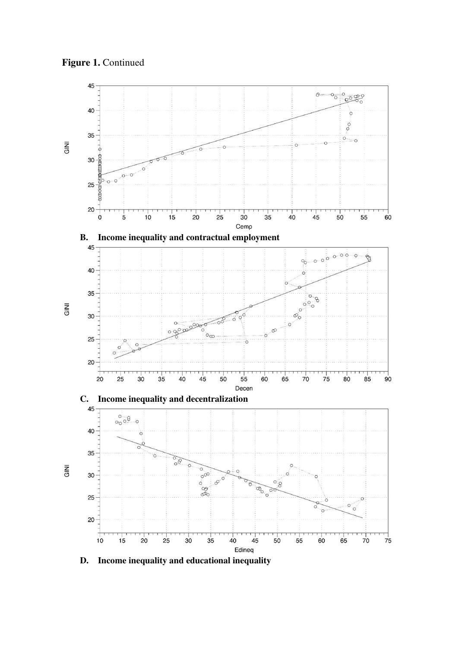